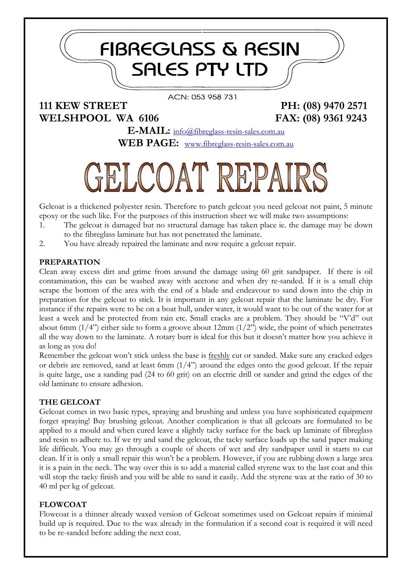# **111 KEW STREET PH: (08) 9470 2571 WELSHPOOL WA 6106 FAX: (08) 9361 9243**

**E-MAIL:** [info@fibreglass-resin-sales.com.au](mailto:info@fibreglass-resin-sales.com.au) **WEB PAGE:** [www.fibreglass-resin-sales.com.au](http://www.fibreglass-resin-sales.com.au/)

ACN: 053 958 731

**FIBREGLASS & RESIN** 

**SALES PTY LTD** 

# ELCOAT REPAI

Gelcoat is a thickened polyester resin. Therefore to patch gelcoat you need gelcoat not paint, 5 minute epoxy or the such like. For the purposes of this instruction sheet we will make two assumptions:

- 1. The gelcoat is damaged but no structural damage has taken place ie. the damage may be down to the fibreglass laminate but has not penetrated the laminate.
- 2. You have already repaired the laminate and now require a gelcoat repair.

# **PREPARATION**

Clean away excess dirt and grime from around the damage using 60 grit sandpaper. If there is oil contamination, this can be washed away with acetone and when dry re-sanded. If it is a small chip scrape the bottom of the area with the end of a blade and endeavour to sand down into the chip in preparation for the gelcoat to stick. It is important in any gelcoat repair that the laminate be dry. For instance if the repairs were to be on a boat hull, under water, it would want to be out of the water for at least a week and be protected from rain etc. Small cracks are a problem. They should be "V'd" out about 6mm  $(1/4)$  either side to form a groove about 12mm  $(1/2)$  wide, the point of which penetrates all the way down to the laminate. A rotary burr is ideal for this but it doesn't matter how you achieve it as long as you do!

Remember the gelcoat won't stick unless the base is freshly cut or sanded. Make sure any cracked edges or debris are removed, sand at least 6mm  $(1/4)$  around the edges onto the good gelcoat. If the repair is quite large, use a sanding pad (24 to 60 grit) on an electric drill or sander and grind the edges of the old laminate to ensure adhesion.

# **THE GELCOAT**

Gelcoat comes in two basic types, spraying and brushing and unless you have sophisticated equipment forget spraying! Buy brushing gelcoat. Another complication is that all gelcoats are formulated to be applied to a mould and when cured leave a slightly tacky surface for the back up laminate of fibreglass and resin to adhere to. If we try and sand the gelcoat, the tacky surface loads up the sand paper making life difficult. You may go through a couple of sheets of wet and dry sandpaper until it starts to cut clean. If it is only a small repair this won't be a problem. However, if you are rubbing down a large area it is a pain in the neck. The way over this is to add a material called styrene wax to the last coat and this will stop the tacky finish and you will be able to sand it easily. Add the styrene wax at the ratio of 30 to 40 ml per kg of gelcoat.

#### **FLOWCOAT**

Flowcoat is a thinner already waxed version of Gelcoat sometimes used on Gelcoat repairs if minimal build up is required. Due to the wax already in the formulation if a second coat is required it will need to be re-sanded before adding the next coat.